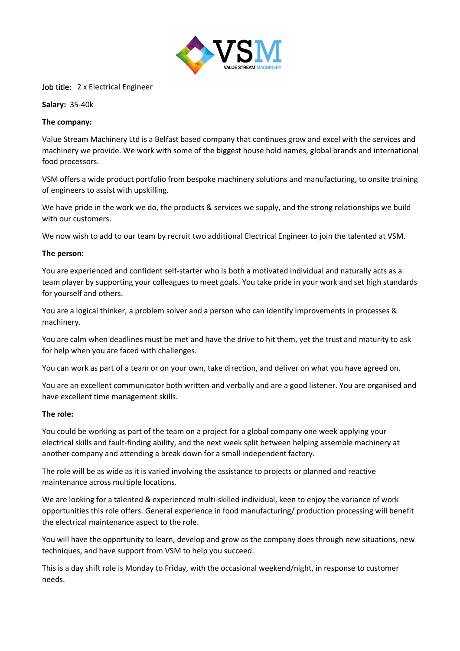

## Job title: 2 x Electrical Engineer

**Salary:** 35-40k

### **The company:**

Value Stream Machinery Ltd is a Belfast based company that continues grow and excel with the services and machinery we provide. We work with some of the biggest house hold names, global brands and international food processors.

VSM offers a wide product portfolio from bespoke machinery solutions and manufacturing, to onsite training of engineers to assist with upskilling.

We have pride in the work we do, the products & services we supply, and the strong relationships we build with our customers.

We now wish to add to our team by recruit two additional Electrical Engineer to join the talented at VSM.

### **The person:**

You are experienced and confident self-starter who is both a motivated individual and naturally acts as a team player by supporting your colleagues to meet goals. You take pride in your work and set high standards for yourself and others.

You are a logical thinker, a problem solver and a person who can identify improvements in processes & machinery.

You are calm when deadlines must be met and have the drive to hit them, yet the trust and maturity to ask for help when you are faced with challenges.

You can work as part of a team or on your own, take direction, and deliver on what you have agreed on.

You are an excellent communicator both written and verbally and are a good listener. You are organised and have excellent time management skills.

#### **The role:**

You could be working as part of the team on a project for a global company one week applying your electrical skills and fault-finding ability, and the next week split between helping assemble machinery at another company and attending a break down for a small independent factory.

The role will be as wide as it is varied involving the assistance to projects or planned and reactive maintenance across multiple locations.

We are looking for a talented & experienced multi-skilled individual, keen to enjoy the variance of work opportunities this role offers. General experience in food manufacturing/ production processing will benefit the electrical maintenance aspect to the role.

You will have the opportunity to learn, develop and grow as the company does through new situations, new techniques, and have support from VSM to help you succeed.

This is a day shift role is Monday to Friday, with the occasional weekend/night, in response to customer needs.